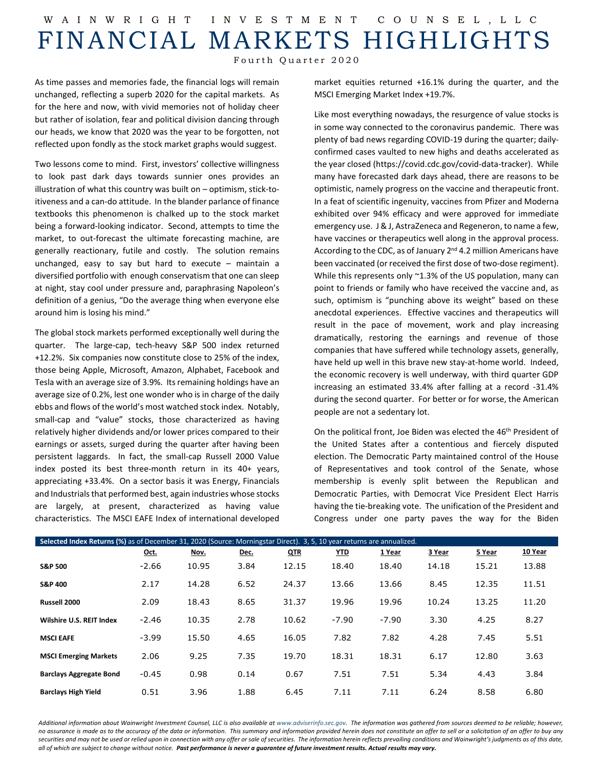## W AINWRIGHT INVESTMENT COUNSEL ,LLC FINANCIAL MARKETS HIGHLIGHTS

Fourth Quarter 2020

As time passes and memories fade, the financial logs will remain unchanged, reflecting a superb 2020 for the capital markets. As for the here and now, with vivid memories not of holiday cheer but rather of isolation, fear and political division dancing through our heads, we know that 2020 was the year to be forgotten, not reflected upon fondly as the stock market graphs would suggest.

Two lessons come to mind. First, investors' collective willingness to look past dark days towards sunnier ones provides an illustration of what this country was built on – optimism, stick-toitiveness and a can-do attitude. In the blander parlance of finance textbooks this phenomenon is chalked up to the stock market being a forward-looking indicator. Second, attempts to time the market, to out-forecast the ultimate forecasting machine, are generally reactionary, futile and costly. The solution remains unchanged, easy to say but hard to execute – maintain a diversified portfolio with enough conservatism that one can sleep at night, stay cool under pressure and, paraphrasing Napoleon's definition of a genius, "Do the average thing when everyone else around him is losing his mind."

The global stock markets performed exceptionally well during the quarter. The large-cap, tech-heavy S&P 500 index returned +12.2%. Six companies now constitute close to 25% of the index, those being Apple, Microsoft, Amazon, Alphabet, Facebook and Tesla with an average size of 3.9%. Its remaining holdings have an average size of 0.2%, lest one wonder who is in charge of the daily ebbs and flows of the world's most watched stock index. Notably, small-cap and "value" stocks, those characterized as having relatively higher dividends and/or lower prices compared to their earnings or assets, surged during the quarter after having been persistent laggards. In fact, the small-cap Russell 2000 Value index posted its best three-month return in its 40+ years, appreciating +33.4%. On a sector basis it was Energy, Financials and Industrials that performed best, again industries whose stocks are largely, at present, characterized as having value characteristics. The MSCI EAFE Index of international developed market equities returned +16.1% during the quarter, and the MSCI Emerging Market Index +19.7%.

Like most everything nowadays, the resurgence of value stocks is in some way connected to the coronavirus pandemic. There was plenty of bad news regarding COVID-19 during the quarter; dailyconfirmed cases vaulted to new highs and deaths accelerated as the year closed [\(https://covid.cdc.gov/covid-data-tracker\)](https://covid.cdc.gov/covid-data-tracker). While many have forecasted dark days ahead, there are reasons to be optimistic, namely progress on the vaccine and therapeutic front. In a feat of scientific ingenuity, vaccines from Pfizer and Moderna exhibited over 94% efficacy and were approved for immediate emergency use. J & J, AstraZeneca and Regeneron, to name a few, have vaccines or therapeutics well along in the approval process. According to the CDC, as of January  $2^{nd}$  4.2 million Americans have been vaccinated (or received the first dose of two-dose regiment). While this represents only ~1.3% of the US population, many can point to friends or family who have received the vaccine and, as such, optimism is "punching above its weight" based on these anecdotal experiences. Effective vaccines and therapeutics will result in the pace of movement, work and play increasing dramatically, restoring the earnings and revenue of those companies that have suffered while technology assets, generally, have held up well in this brave new stay-at-home world. Indeed, the economic recovery is well underway, with third quarter GDP increasing an estimated 33.4% after falling at a record -31.4% during the second quarter. For better or for worse, the American people are not a sedentary lot.

On the political front, Joe Biden was elected the 46<sup>th</sup> President of the United States after a contentious and fiercely disputed election. The Democratic Party maintained control of the House of Representatives and took control of the Senate, whose membership is evenly split between the Republican and Democratic Parties, with Democrat Vice President Elect Harris having the tie-breaking vote. The unification of the President and Congress under one party paves the way for the Biden

| Selected Index Returns (%) as of December 31, 2020 (Source: Morningstar Direct). 3, 5, 10 year returns are annualized. |         |       |      |            |            |         |        |        |         |  |  |
|------------------------------------------------------------------------------------------------------------------------|---------|-------|------|------------|------------|---------|--------|--------|---------|--|--|
|                                                                                                                        | Oct.    | Nov.  | Dec. | <b>QTR</b> | <u>YTD</u> | 1 Year  | 3 Year | 5 Year | 10 Year |  |  |
| <b>S&amp;P 500</b>                                                                                                     | $-2.66$ | 10.95 | 3.84 | 12.15      | 18.40      | 18.40   | 14.18  | 15.21  | 13.88   |  |  |
| <b>S&amp;P 400</b>                                                                                                     | 2.17    | 14.28 | 6.52 | 24.37      | 13.66      | 13.66   | 8.45   | 12.35  | 11.51   |  |  |
| Russell 2000                                                                                                           | 2.09    | 18.43 | 8.65 | 31.37      | 19.96      | 19.96   | 10.24  | 13.25  | 11.20   |  |  |
| Wilshire U.S. REIT Index                                                                                               | $-2.46$ | 10.35 | 2.78 | 10.62      | $-7.90$    | $-7.90$ | 3.30   | 4.25   | 8.27    |  |  |
| <b>MSCI EAFE</b>                                                                                                       | $-3.99$ | 15.50 | 4.65 | 16.05      | 7.82       | 7.82    | 4.28   | 7.45   | 5.51    |  |  |
| <b>MSCI Emerging Markets</b>                                                                                           | 2.06    | 9.25  | 7.35 | 19.70      | 18.31      | 18.31   | 6.17   | 12.80  | 3.63    |  |  |
| <b>Barclays Aggregate Bond</b>                                                                                         | $-0.45$ | 0.98  | 0.14 | 0.67       | 7.51       | 7.51    | 5.34   | 4.43   | 3.84    |  |  |
| <b>Barclays High Yield</b>                                                                                             | 0.51    | 3.96  | 1.88 | 6.45       | 7.11       | 7.11    | 6.24   | 8.58   | 6.80    |  |  |

Additional information about Wainwright Investment Counsel, LLC is also available a[t www.adviserinfo.sec.gov.](http://www.adviserinfo.sec.gov/) The information was aathered from sources deemed to be reliable; however, *no assurance is made as to the accuracy of the data or information. This summary and information provided herein does not constitute an offer to sell or a solicitation of an offer to buy any securities and may not be used or relied upon in connection with any offer or sale of securities. The information herein reflects prevailing conditions and Wainwright's judgments as of this date, all of which are subject to change without notice. Past performance is never a guarantee of future investment results. Actual results may vary.*